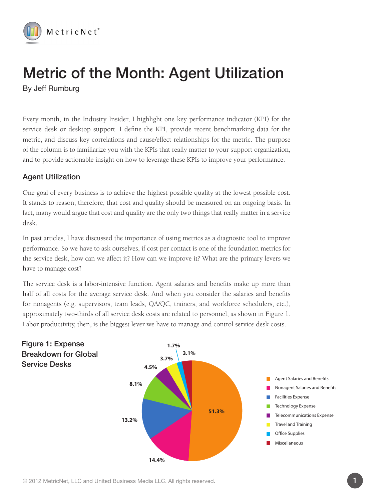

## Metric of the Month: Agent Utilization By Jeff Rumburg

Every month, in the Industry Insider, I highlight one key performance indicator (KPI) for the service desk or desktop support. I define the KPI, provide recent benchmarking data for the metric, and discuss key correlations and cause/effect relationships for the metric. The purpose of the column is to familiarize you with the KPIs that really matter to your support organization, and to provide actionable insight on how to leverage these KPIs to improve your performance.

## Agent Utilization

One goal of every business is to achieve the highest possible quality at the lowest possible cost. It stands to reason, therefore, that cost and quality should be measured on an ongoing basis. In fact, many would argue that cost and quality are the only two things that really matter in a service desk.

In past articles, I have discussed the importance of using metrics as a diagnostic tool to improve performance. So we have to ask ourselves, if cost per contact is one of the foundation metrics for the service desk, how can we affect it? How can we improve it? What are the primary levers we have to manage cost?

The service desk is a labor-intensive function. Agent salaries and benefits make up more than half of all costs for the average service desk. And when you consider the salaries and benefits for nonagents (e.g. supervisors, team leads, QA/QC, trainers, and workforce schedulers, etc.), approximately two-thirds of all service desk costs are related to personnel, as shown in Figure 1. Labor productivity, then, is the biggest lever we have to manage and control service desk costs.





Figure 1: Expense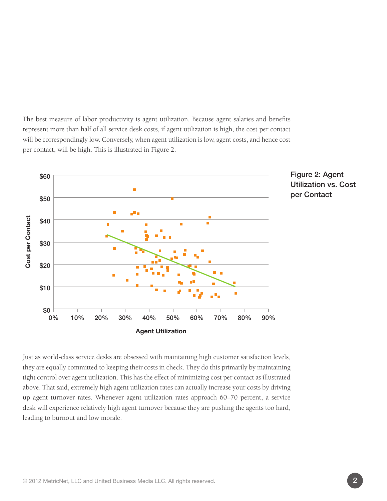The best measure of labor productivity is agent utilization. Because agent salaries and benefits represent more than half of all service desk costs, if agent utilization is high, the cost per contact will be correspondingly low. Conversely, when agent utilization is low, agent costs, and hence cost per contact, will be high. This is illustrated in Figure 2.





Just as world-class service desks are obsessed with maintaining high customer satisfaction levels, they are equally committed to keeping their costs in check. They do this primarily by maintaining tight control over agent utilization. This has the effect of minimizing cost per contact as illustrated above. That said, extremely high agent utilization rates can actually increase your costs by driving up agent turnover rates. Whenever agent utilization rates approach 60–70 percent, a service desk will experience relatively high agent turnover because they are pushing the agents too hard, leading to burnout and low morale.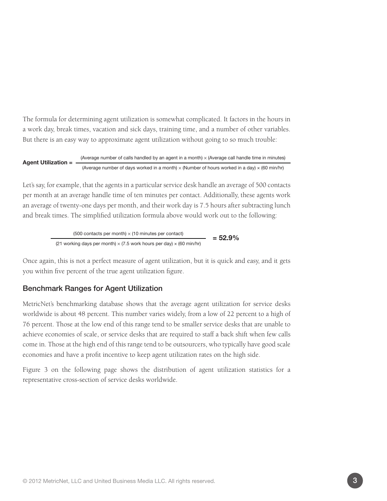The formula for determining agent utilization is somewhat complicated. It factors in the hours in a work day, break times, vacation and sick days, training time, and a number of other variables. But there is an easy way to approximate agent utilization without going to so much trouble:

Agent Utilization = (Average number of calls handled by an agent in a month)  $\times$  (Average call handle time in minutes) (Average number of days worked in a month)  $\times$  (Number of hours worked in a day)  $\times$  (60 min/hr)

Let's say, for example, that the agents in a particular service desk handle an average of 500 contacts per month at an average handle time of ten minutes per contact. Additionally, these agents work an average of twenty-one days per month, and their work day is 7.5 hours after subtracting lunch and break times. The simplified utilization formula above would work out to the following:

> $(500 \text{ contacts per month}) \times (10 \text{ minutes per contact})$  = 52.9% (21 working days per month)  $\times$  (7.5 work hours per day)  $\times$  (60 min/hr)

Once again, this is not a perfect measure of agent utilization, but it is quick and easy, and it gets you within five percent of the true agent utilization figure.

## Benchmark Ranges for Agent Utilization

MetricNet's benchmarking database shows that the average agent utilization for service desks worldwide is about 48 percent. This number varies widely, from a low of 22 percent to a high of 76 percent. Those at the low end of this range tend to be smaller service desks that are unable to achieve economies of scale, or service desks that are required to staff a back shift when few calls come in. Those at the high end of this range tend to be outsourcers, who typically have good scale economies and have a profit incentive to keep agent utilization rates on the high side.

Figure 3 on the following page shows the distribution of agent utilization statistics for a representative cross-section of service desks worldwide.